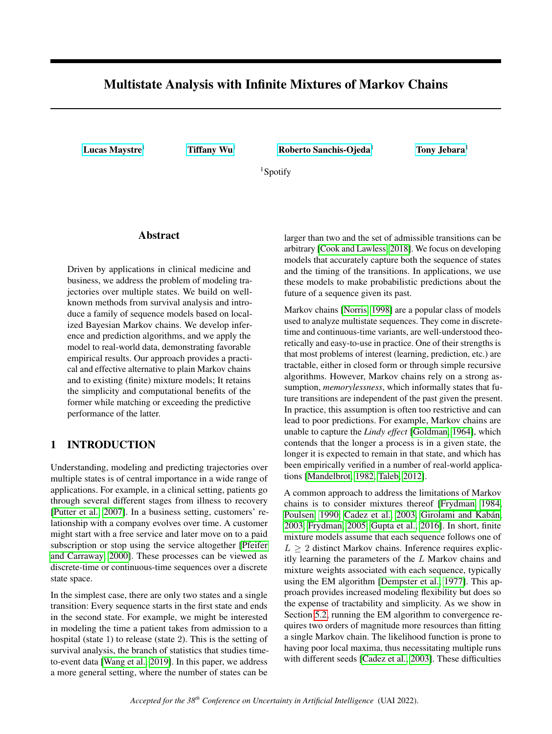# <span id="page-0-0"></span>Multistate Analysis with Infinite Mixtures of Markov Chains

[Lucas Maystre](mailto:lucasm@spotify.com)<sup>1</sup> [Tiffany Wu](mailto:tiffanywu@spotify.com)<sup>1</sup> [Roberto Sanchis-Ojeda](mailto:robertoo@spotify.com)<sup>1</sup> [Tony Jebara](mailto:tonyj@spotify.com)<sup>1</sup>

<sup>1</sup>Spotify

# Abstract

Driven by applications in clinical medicine and business, we address the problem of modeling trajectories over multiple states. We build on wellknown methods from survival analysis and introduce a family of sequence models based on localized Bayesian Markov chains. We develop inference and prediction algorithms, and we apply the model to real-world data, demonstrating favorable empirical results. Our approach provides a practical and effective alternative to plain Markov chains and to existing (finite) mixture models; It retains the simplicity and computational benefits of the former while matching or exceeding the predictive performance of the latter.

# 1 INTRODUCTION

Understanding, modeling and predicting trajectories over multiple states is of central importance in a wide range of applications. For example, in a clinical setting, patients go through several different stages from illness to recovery [\[Putter et al., 2007\]](#page-9-0). In a business setting, customers' relationship with a company evolves over time. A customer might start with a free service and later move on to a paid subscription or stop using the service altogether [\[Pfeifer](#page-9-1) [and Carraway, 2000\]](#page-9-1). These processes can be viewed as discrete-time or continuous-time sequences over a discrete state space.

In the simplest case, there are only two states and a single transition: Every sequence starts in the first state and ends in the second state. For example, we might be interested in modeling the time a patient takes from admission to a hospital (state 1) to release (state 2). This is the setting of survival analysis, the branch of statistics that studies timeto-event data [\[Wang et al., 2019\]](#page-9-2). In this paper, we address a more general setting, where the number of states can be

larger than two and the set of admissible transitions can be arbitrary [\[Cook and Lawless, 2018\]](#page-8-0). We focus on developing models that accurately capture both the sequence of states and the timing of the transitions. In applications, we use these models to make probabilistic predictions about the future of a sequence given its past.

Markov chains [\[Norris, 1998\]](#page-9-3) are a popular class of models used to analyze multistate sequences. They come in discretetime and continuous-time variants, are well-understood theoretically and easy-to-use in practice. One of their strengths is that most problems of interest (learning, prediction, etc.) are tractable, either in closed form or through simple recursive algorithms. However, Markov chains rely on a strong assumption, *memorylessness*, which informally states that future transitions are independent of the past given the present. In practice, this assumption is often too restrictive and can lead to poor predictions. For example, Markov chains are unable to capture the *Lindy effect* [\[Goldman, 1964\]](#page-8-1), which contends that the longer a process is in a given state, the longer it is expected to remain in that state, and which has been empirically verified in a number of real-world applications [\[Mandelbrot, 1982,](#page-9-4) [Taleb, 2012\]](#page-9-5).

A common approach to address the limitations of Markov chains is to consider mixtures thereof [\[Frydman, 1984,](#page-8-2) [Poulsen, 1990,](#page-9-6) [Cadez et al., 2003,](#page-8-3) [Girolami and Kabán,](#page-8-4) [2003,](#page-8-4) [Frydman, 2005,](#page-8-5) [Gupta et al., 2016\]](#page-8-6). In short, finite mixture models assume that each sequence follows one of  $L \geq 2$  distinct Markov chains. Inference requires explicitly learning the parameters of the L Markov chains and mixture weights associated with each sequence, typically using the EM algorithm [\[Dempster et al., 1977\]](#page-8-7). This approach provides increased modeling flexibility but does so the expense of tractability and simplicity. As we show in Section [5.2,](#page-6-0) running the EM algorithm to convergence requires two orders of magnitude more resources than fitting a single Markov chain. The likelihood function is prone to having poor local maxima, thus necessitating multiple runs with different seeds [\[Cadez et al., 2003\]](#page-8-3). These difficulties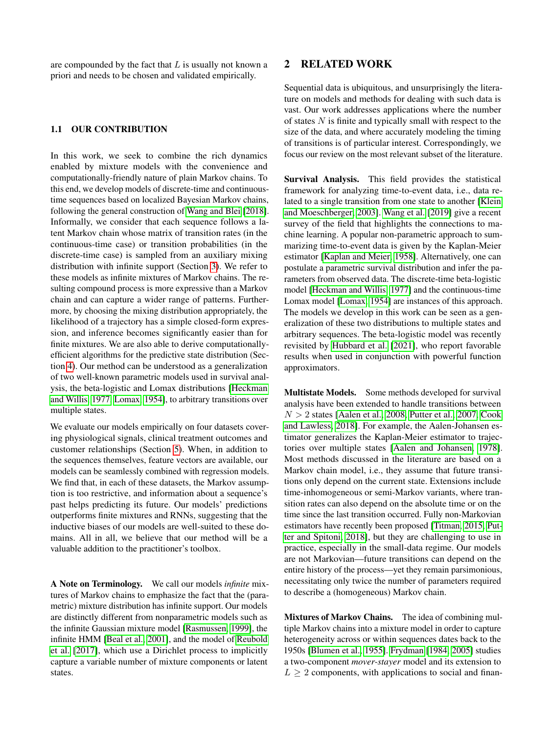are compounded by the fact that  $L$  is usually not known a priori and needs to be chosen and validated empirically.

### 1.1 OUR CONTRIBUTION

In this work, we seek to combine the rich dynamics enabled by mixture models with the convenience and computationally-friendly nature of plain Markov chains. To this end, we develop models of discrete-time and continuoustime sequences based on localized Bayesian Markov chains, following the general construction of [Wang and Blei](#page-9-7) [\[2018\]](#page-9-7). Informally, we consider that each sequence follows a latent Markov chain whose matrix of transition rates (in the continuous-time case) or transition probabilities (in the discrete-time case) is sampled from an auxiliary mixing distribution with infinite support (Section [3\)](#page-2-0). We refer to these models as infinite mixtures of Markov chains. The resulting compound process is more expressive than a Markov chain and can capture a wider range of patterns. Furthermore, by choosing the mixing distribution appropriately, the likelihood of a trajectory has a simple closed-form expression, and inference becomes significantly easier than for finite mixtures. We are also able to derive computationallyefficient algorithms for the predictive state distribution (Section [4\)](#page-4-0). Our method can be understood as a generalization of two well-known parametric models used in survival analysis, the beta-logistic and Lomax distributions [\[Heckman](#page-8-8) [and Willis, 1977,](#page-8-8) [Lomax, 1954\]](#page-9-8), to arbitrary transitions over multiple states.

We evaluate our models empirically on four datasets covering physiological signals, clinical treatment outcomes and customer relationships (Section [5\)](#page-5-0). When, in addition to the sequences themselves, feature vectors are available, our models can be seamlessly combined with regression models. We find that, in each of these datasets, the Markov assumption is too restrictive, and information about a sequence's past helps predicting its future. Our models' predictions outperforms finite mixtures and RNNs, suggesting that the inductive biases of our models are well-suited to these domains. All in all, we believe that our method will be a valuable addition to the practitioner's toolbox.

A Note on Terminology. We call our models *infinite* mixtures of Markov chains to emphasize the fact that the (parametric) mixture distribution has infinite support. Our models are distinctly different from nonparametric models such as the infinite Gaussian mixture model [\[Rasmussen, 1999\]](#page-9-9), the infinite HMM [\[Beal et al., 2001\]](#page-8-9), and the model of [Reubold](#page-9-10) [et al.](#page-9-10) [\[2017\]](#page-9-10), which use a Dirichlet process to implicitly capture a variable number of mixture components or latent states.

### 2 RELATED WORK

Sequential data is ubiquitous, and unsurprisingly the literature on models and methods for dealing with such data is vast. Our work addresses applications where the number of states  $N$  is finite and typically small with respect to the size of the data, and where accurately modeling the timing of transitions is of particular interest. Correspondingly, we focus our review on the most relevant subset of the literature.

Survival Analysis. This field provides the statistical framework for analyzing time-to-event data, i.e., data related to a single transition from one state to another [\[Klein](#page-9-11) [and Moeschberger, 2003\]](#page-9-11). [Wang et al.](#page-9-2) [\[2019\]](#page-9-2) give a recent survey of the field that highlights the connections to machine learning. A popular non-parametric approach to summarizing time-to-event data is given by the Kaplan-Meier estimator [\[Kaplan and Meier, 1958\]](#page-9-12). Alternatively, one can postulate a parametric survival distribution and infer the parameters from observed data. The discrete-time beta-logistic model [\[Heckman and Willis, 1977\]](#page-8-8) and the continuous-time Lomax model [\[Lomax, 1954\]](#page-9-8) are instances of this approach. The models we develop in this work can be seen as a generalization of these two distributions to multiple states and arbitrary sequences. The beta-logistic model was recently revisited by [Hubbard et al.](#page-8-10) [\[2021\]](#page-8-10), who report favorable results when used in conjunction with powerful function approximators.

Multistate Models. Some methods developed for survival analysis have been extended to handle transitions between  $N > 2$  states [\[Aalen et al., 2008,](#page-8-11) [Putter et al., 2007,](#page-9-0) [Cook](#page-8-0) [and Lawless, 2018\]](#page-8-0). For example, the Aalen-Johansen estimator generalizes the Kaplan-Meier estimator to trajectories over multiple states [\[Aalen and Johansen, 1978\]](#page-8-12). Most methods discussed in the literature are based on a Markov chain model, i.e., they assume that future transitions only depend on the current state. Extensions include time-inhomogeneous or semi-Markov variants, where transition rates can also depend on the absolute time or on the time since the last transition occurred. Fully non-Markovian estimators have recently been proposed [\[Titman, 2015,](#page-9-13) [Put](#page-9-14)[ter and Spitoni, 2018\]](#page-9-14), but they are challenging to use in practice, especially in the small-data regime. Our models are not Markovian—future transitions can depend on the entire history of the process—yet they remain parsimonious, necessitating only twice the number of parameters required to describe a (homogeneous) Markov chain.

Mixtures of Markov Chains. The idea of combining multiple Markov chains into a mixture model in order to capture heterogeneity across or within sequences dates back to the 1950s [\[Blumen et al., 1955\]](#page-8-13). [Frydman](#page-8-2) [\[1984,](#page-8-2) [2005\]](#page-8-5) studies a two-component *mover-stayer* model and its extension to  $L \geq 2$  components, with applications to social and finan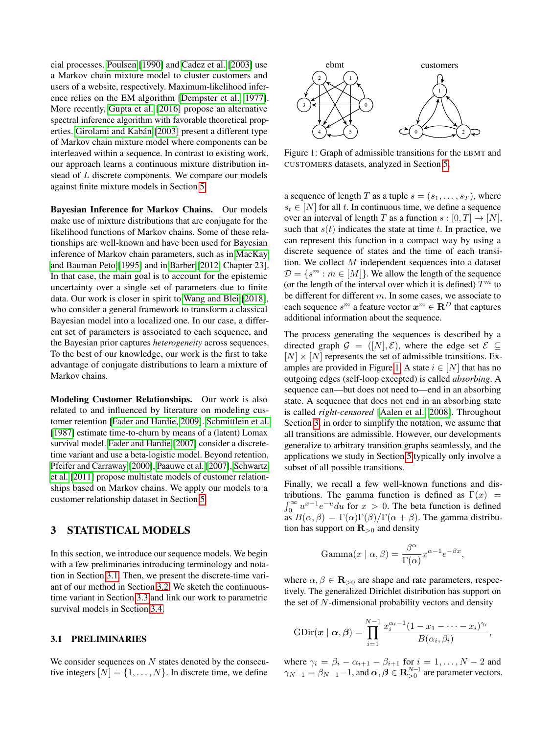cial processes. [Poulsen](#page-9-6) [\[1990\]](#page-9-6) and [Cadez et al.](#page-8-3) [\[2003\]](#page-8-3) use a Markov chain mixture model to cluster customers and users of a website, respectively. Maximum-likelihood inference relies on the EM algorithm [\[Dempster et al., 1977\]](#page-8-7). More recently, [Gupta et al.](#page-8-6) [\[2016\]](#page-8-6) propose an alternative spectral inference algorithm with favorable theoretical properties. [Girolami and Kabán](#page-8-4) [\[2003\]](#page-8-4) present a different type of Markov chain mixture model where components can be interleaved within a sequence. In contrast to existing work, our approach learns a continuous mixture distribution instead of L discrete components. We compare our models against finite mixture models in Section [5.](#page-5-0)

Bayesian Inference for Markov Chains. Our models make use of mixture distributions that are conjugate for the likelihood functions of Markov chains. Some of these relationships are well-known and have been used for Bayesian inference of Markov chain parameters, such as in [MacKay](#page-9-15) [and Bauman Peto](#page-9-15) [\[1995\]](#page-9-15) and in [Barber](#page-8-14) [\[2012,](#page-8-14) Chapter 23]. In that case, the main goal is to account for the epistemic uncertainty over a single set of parameters due to finite data. Our work is closer in spirit to [Wang and Blei](#page-9-7) [\[2018\]](#page-9-7), who consider a general framework to transform a classical Bayesian model into a localized one. In our case, a different set of parameters is associated to each sequence, and the Bayesian prior captures *heterogeneity* across sequences. To the best of our knowledge, our work is the first to take advantage of conjugate distributions to learn a mixture of Markov chains.

Modeling Customer Relationships. Our work is also related to and influenced by literature on modeling customer retention [\[Fader and Hardie, 2009\]](#page-8-15). [Schmittlein et al.](#page-9-16) [\[1987\]](#page-9-16) estimate time-to-churn by means of a (latent) Lomax survival model. [Fader and Hardie](#page-8-16) [\[2007\]](#page-8-16) consider a discretetime variant and use a beta-logistic model. Beyond retention, [Pfeifer and Carraway](#page-9-1) [\[2000\]](#page-9-1), [Paauwe et al.](#page-9-17) [\[2007\]](#page-9-17), [Schwartz](#page-9-18) [et al.](#page-9-18) [\[2011\]](#page-9-18) propose multistate models of customer relationships based on Markov chains. We apply our models to a customer relationship dataset in Section [5.](#page-5-0)

# <span id="page-2-0"></span>3 STATISTICAL MODELS

In this section, we introduce our sequence models. We begin with a few preliminaries introducing terminology and notation in Section [3.1.](#page-2-1) Then, we present the discrete-time variant of our method in Section [3.2.](#page-3-0) We sketch the continuoustime variant in Section [3.3](#page-3-1) and link our work to parametric survival models in Section [3.4.](#page-4-1)

#### <span id="page-2-1"></span>3.1 PRELIMINARIES

We consider sequences on  $N$  states denoted by the consecutive integers  $[N] = \{1, \ldots, N\}$ . In discrete time, we define

<span id="page-2-2"></span>

Figure 1: Graph of admissible transitions for the EBMT and CUSTOMERS datasets, analyzed in Section [5.](#page-5-0)

a sequence of length T as a tuple  $s = (s_1, \ldots, s_T)$ , where  $s_t \in [N]$  for all t. In continuous time, we define a sequence over an interval of length T as a function  $s : [0, T] \rightarrow [N]$ , such that  $s(t)$  indicates the state at time t. In practice, we can represent this function in a compact way by using a discrete sequence of states and the time of each transition. We collect M independent sequences into a dataset  $\mathcal{D} = \{s^m : m \in [M]\}.$  We allow the length of the sequence (or the length of the interval over which it is defined)  $T<sup>m</sup>$  to be different for different m. In some cases, we associate to each sequence  $s^m$  a feature vector  $\boldsymbol{x}^m \in \mathbf{R}^D$  that captures additional information about the sequence.

The process generating the sequences is described by a directed graph  $\mathcal{G} = ([N], \mathcal{E})$ , where the edge set  $\mathcal{E} \subseteq$  $[N] \times [N]$  represents the set of admissible transitions. Ex-amples are provided in Figure [1.](#page-2-2) A state  $i \in [N]$  that has no outgoing edges (self-loop excepted) is called *absorbing*. A sequence can—but does not need to—end in an absorbing state. A sequence that does not end in an absorbing state is called *right-censored* [\[Aalen et al., 2008\]](#page-8-11). Throughout Section [3,](#page-2-0) in order to simplify the notation, we assume that all transitions are admissible. However, our developments generalize to arbitrary transition graphs seamlessly, and the applications we study in Section [5](#page-5-0) typically only involve a subset of all possible transitions.

Finally, we recall a few well-known functions and distributions. The gamma function is defined as  $\Gamma(x)$  =  $\int_0^\infty u^{x-1} e^{-u} du$  for  $x > 0$ . The beta function is defined as  $B(\alpha, \beta) = \Gamma(\alpha)\Gamma(\beta)/\Gamma(\alpha + \beta)$ . The gamma distribution has support on  $\mathbf{R}_{>0}$  and density

$$
Gamma(x \mid \alpha, \beta) = \frac{\beta^{\alpha}}{\Gamma(\alpha)} x^{\alpha - 1} e^{-\beta x},
$$

where  $\alpha, \beta \in \mathbf{R}_{>0}$  are shape and rate parameters, respectively. The generalized Dirichlet distribution has support on the set of N-dimensional probability vectors and density

$$
\text{GDir}(\boldsymbol{x} \mid \boldsymbol{\alpha}, \boldsymbol{\beta}) = \prod_{i=1}^{N-1} \frac{x_i^{\alpha_i-1} (1 - x_1 - \cdots - x_i)^{\gamma_i}}{B(\alpha_i, \beta_i)},
$$

where  $\gamma_i = \beta_i - \alpha_{i+1} - \beta_{i+1}$  for  $i = 1, \dots, N-2$  and  $\gamma_{N-1} = \beta_{N-1} - 1$ , and  $\boldsymbol{\alpha}, \boldsymbol{\beta} \in \mathbf{R}^{N-1}_{>0}$  are parameter vectors.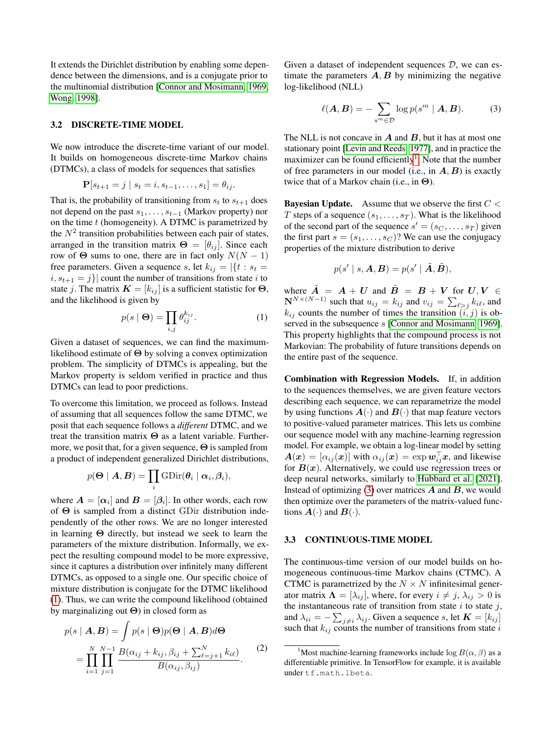It extends the Dirichlet distribution by enabling some dependence between the dimensions, and is a conjugate prior to the multinomial distribution [\[Connor and Mosimann, 1969,](#page-8-17) [Wong, 1998\]](#page-9-19).

#### <span id="page-3-0"></span>3.2 DISCRETE-TIME MODEL

We now introduce the discrete-time variant of our model. It builds on homogeneous discrete-time Markov chains (DTMCs), a class of models for sequences that satisfies

$$
\mathbf{P}[s_{t+1} = j \mid s_t = i, s_{t-1}, \dots, s_1] = \theta_{ij}.
$$

That is, the probability of transitioning from  $s_t$  to  $s_{t+1}$  does not depend on the past  $s_1, \ldots, s_{t-1}$  (Markov property) nor on the time  $t$  (homogeneity). A DTMC is parametrized by the  $N^2$  transition probabilities between each pair of states, arranged in the transition matrix  $\mathbf{\Theta} = [\theta_{ij}]$ . Since each row of  $\Theta$  sums to one, there are in fact only  $N(N - 1)$ free parameters. Given a sequence s, let  $k_{ij} = |\{t : s_t =$  $i, s_{t+1} = j$  count the number of transitions from state i to state j. The matrix  $\mathbf{K} = [k_{ij}]$  is a sufficient statistic for  $\Theta$ , and the likelihood is given by

$$
p(s \mid \mathbf{\Theta}) = \prod_{i,j} \theta_{ij}^{k_{ij}}.
$$
 (1)

Given a dataset of sequences, we can find the maximumlikelihood estimate of  $\Theta$  by solving a convex optimization problem. The simplicity of DTMCs is appealing, but the Markov property is seldom verified in practice and thus DTMCs can lead to poor predictions.

To overcome this limitation, we proceed as follows. Instead of assuming that all sequences follow the same DTMC, we posit that each sequence follows a *different* DTMC, and we treat the transition matrix Θ as a latent variable. Furthermore, we posit that, for a given sequence, Θ is sampled from a product of independent generalized Dirichlet distributions,

$$
p(\mathbf{\Theta} \mid \mathbf{A}, \mathbf{B}) = \prod_i \mathrm{GDir}(\boldsymbol{\theta}_i \mid \boldsymbol{\alpha}_i, \boldsymbol{\beta}_i),
$$

where  $A = [\alpha_i]$  and  $B = [\beta_i]$ . In other words, each row of Θ is sampled from a distinct GDir distribution independently of the other rows. We are no longer interested in learning  $\Theta$  directly, but instead we seek to learn the parameters of the mixture distribution. Informally, we expect the resulting compound model to be more expressive, since it captures a distribution over infinitely many different DTMCs, as opposed to a single one. Our specific choice of mixture distribution is conjugate for the DTMC likelihood [\(1\)](#page-3-2). Thus, we can write the compound likelihood (obtained by marginalizing out  $\Theta$ ) in closed form as

$$
p(s | \mathbf{A}, \mathbf{B}) = \int p(s | \mathbf{\Theta}) p(\mathbf{\Theta} | \mathbf{A}, \mathbf{B}) d\mathbf{\Theta}
$$
  
= 
$$
\prod_{i=1}^{N} \prod_{j=1}^{N-1} \frac{B(\alpha_{ij} + k_{ij}, \beta_{ij} + \sum_{\ell=j+1}^{N} k_{i\ell})}{B(\alpha_{ij}, \beta_{ij})}.
$$
 (2)

Given a dataset of independent sequences  $D$ , we can estimate the parameters  $A, B$  by minimizing the negative log-likelihood (NLL)

<span id="page-3-4"></span>
$$
\ell(\mathbf{A}, \mathbf{B}) = -\sum_{s^m \in \mathcal{D}} \log p(s^m \mid \mathbf{A}, \mathbf{B}).
$$
 (3)

The NLL is not concave in  $A$  and  $B$ , but it has at most one stationary point [\[Levin and Reeds, 1977\]](#page-9-20), and in practice the maximizer can be found efficiently<sup>[1](#page-3-3)</sup>. Note that the number of free parameters in our model (i.e., in  $A, B$ ) is exactly twice that of a Markov chain (i.e., in  $\Theta$ ).

**Bayesian Update.** Assume that we observe the first  $C <$ T steps of a sequence  $(s_1, \ldots, s_T)$ . What is the likelihood of the second part of the sequence  $s' = (s_C, \dots, s_T)$  given the first part  $s = (s_1, \ldots, s_C)$ ? We can use the conjugacy properties of the mixture distribution to derive

$$
p(s' | s, \mathbf{A}, \mathbf{B}) = p(s' | \tilde{\mathbf{A}}, \tilde{\mathbf{B}}),
$$

<span id="page-3-2"></span>where  $\tilde{A} = A + U$  and  $\tilde{B} = B + V$  for  $U, V \in$  $\mathbf{N}^{N \times (N-1)}$  such that  $u_{ij} = k_{ij}$  and  $v_{ij} = \sum_{\ell > j} k_{i\ell}$ , and  $k_{ij}$  counts the number of times the transition  $(i, j)$  is ob-served in the subsequence s [\[Connor and Mosimann, 1969\]](#page-8-17). This property highlights that the compound process is not Markovian: The probability of future transitions depends on the entire past of the sequence.

Combination with Regression Models. If, in addition to the sequences themselves, we are given feature vectors describing each sequence, we can reparametrize the model by using functions  $A(\cdot)$  and  $B(\cdot)$  that map feature vectors to positive-valued parameter matrices. This lets us combine our sequence model with any machine-learning regression model. For example, we obtain a log-linear model by setting  $A(x) = [\alpha_{ij}(x)]$  with  $\alpha_{ij}(x) = \exp w_{ij}^{\top}x$ , and likewise for  $B(x)$ . Alternatively, we could use regression trees or deep neural networks, similarly to [Hubbard et al.](#page-8-10) [\[2021\]](#page-8-10). Instead of optimizing  $(3)$  over matrices  $\vec{A}$  and  $\vec{B}$ , we would then optimize over the parameters of the matrix-valued functions  $A(\cdot)$  and  $B(\cdot)$ .

### <span id="page-3-1"></span>3.3 CONTINUOUS-TIME MODEL

The continuous-time version of our model builds on homogeneous continuous-time Markov chains (CTMC). A CTMC is parametrized by the  $N \times N$  infinitesimal generator matrix  $\mathbf{\Lambda} = [\lambda_{ij}]$ , where, for every  $i \neq j$ ,  $\lambda_{ij} > 0$  is the instantaneous rate of transition from state  $i$  to state  $j$ , and  $\lambda_{ii} = -\sum_{j \neq i} \lambda_{ij}$ . Given a sequence s, let  $\boldsymbol{K} = [k_{ij}]$ such that  $k_{ij}$  counts the number of transitions from state i

<span id="page-3-5"></span><span id="page-3-3"></span><sup>&</sup>lt;sup>1</sup>Most machine-learning frameworks include  $\log B(\alpha, \beta)$  as a differentiable primitive. In TensorFlow for example, it is available under tf.math.lbeta.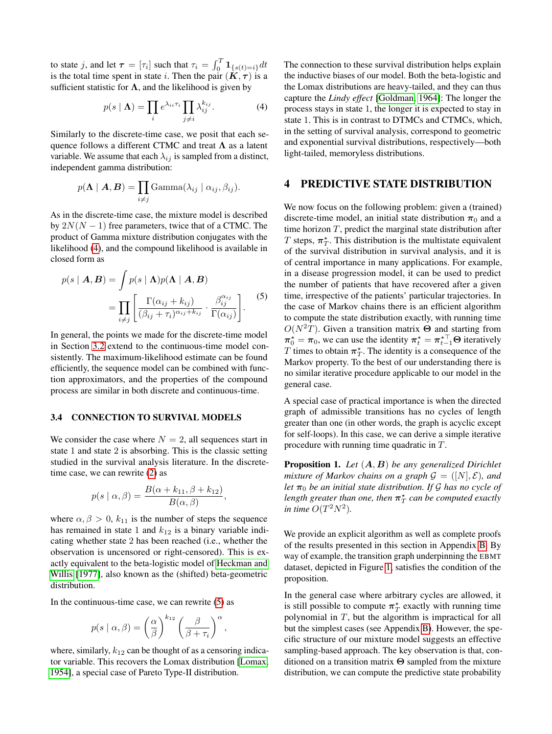to state j, and let  $\tau = [\tau_i]$  such that  $\tau_i = \int_0^T \mathbf{1}_{\{s(t) = i\}} dt$ is the total time spent in state i. Then the pair  $(K, \tau)$  is a sufficient statistic for  $\Lambda$ , and the likelihood is given by

$$
p(s \mid \mathbf{\Lambda}) = \prod_{i} e^{\lambda_{ii} \tau_i} \prod_{j \neq i} \lambda_{ij}^{k_{ij}}.
$$
 (4)

Similarly to the discrete-time case, we posit that each sequence follows a different CTMC and treat  $\Lambda$  as a latent variable. We assume that each  $\lambda_{ij}$  is sampled from a distinct, independent gamma distribution:

$$
p(\mathbf{\Lambda} \mid \mathbf{A}, \mathbf{B}) = \prod_{i \neq j} \text{Gamma}(\lambda_{ij} \mid \alpha_{ij}, \beta_{ij}).
$$

As in the discrete-time case, the mixture model is described by  $2N(N - 1)$  free parameters, twice that of a CTMC. The product of Gamma mixture distribution conjugates with the likelihood [\(4\)](#page-4-2), and the compound likelihood is available in closed form as

$$
p(s | \mathbf{A}, \mathbf{B}) = \int p(s | \mathbf{\Lambda}) p(\mathbf{\Lambda} | \mathbf{A}, \mathbf{B})
$$
  
= 
$$
\prod_{i \neq j} \left[ \frac{\Gamma(\alpha_{ij} + k_{ij})}{(\beta_{ij} + \tau_i)^{\alpha_{ij} + k_{ij}}} \cdot \frac{\beta_{ij}^{\alpha_{ij}}}{\Gamma(\alpha_{ij})} \right].
$$
 (5)

In general, the points we made for the discrete-time model in Section [3.2](#page-3-0) extend to the continuous-time model consistently. The maximum-likelihood estimate can be found efficiently, the sequence model can be combined with function approximators, and the properties of the compound process are similar in both discrete and continuous-time.

#### <span id="page-4-1"></span>3.4 CONNECTION TO SURVIVAL MODELS

We consider the case where  $N = 2$ , all sequences start in state 1 and state 2 is absorbing. This is the classic setting studied in the survival analysis literature. In the discretetime case, we can rewrite [\(2\)](#page-3-5) as

$$
p(s \mid \alpha, \beta) = \frac{B(\alpha + k_{11}, \beta + k_{12})}{B(\alpha, \beta)},
$$

where  $\alpha, \beta > 0$ ,  $k_{11}$  is the number of steps the sequence has remained in state 1 and  $k_{12}$  is a binary variable indicating whether state 2 has been reached (i.e., whether the observation is uncensored or right-censored). This is exactly equivalent to the beta-logistic model of [Heckman and](#page-8-8) [Willis](#page-8-8) [\[1977\]](#page-8-8), also known as the (shifted) beta-geometric distribution.

In the continuous-time case, we can rewrite  $(5)$  as

$$
p(s \mid \alpha, \beta) = \left(\frac{\alpha}{\beta}\right)^{k_{12}} \left(\frac{\beta}{\beta + \tau_i}\right)^{\alpha},
$$

where, similarly,  $k_{12}$  can be thought of as a censoring indicator variable. This recovers the Lomax distribution [\[Lomax,](#page-9-8) [1954\]](#page-9-8), a special case of Pareto Type-II distribution.

<span id="page-4-2"></span>The connection to these survival distribution helps explain the inductive biases of our model. Both the beta-logistic and the Lomax distributions are heavy-tailed, and they can thus capture the *Lindy effect* [\[Goldman, 1964\]](#page-8-1): The longer the process stays in state 1, the longer it is expected to stay in state 1. This is in contrast to DTMCs and CTMCs, which, in the setting of survival analysis, correspond to geometric and exponential survival distributions, respectively—both light-tailed, memoryless distributions.

### <span id="page-4-0"></span>4 PREDICTIVE STATE DISTRIBUTION

<span id="page-4-3"></span>We now focus on the following problem: given a (trained) discrete-time model, an initial state distribution  $\pi_0$  and a time horizon  $T$ , predict the marginal state distribution after T steps,  $\pi_T^*$ . This distribution is the multistate equivalent of the survival distribution in survival analysis, and it is of central importance in many applications. For example, in a disease progression model, it can be used to predict the number of patients that have recovered after a given time, irrespective of the patients' particular trajectories. In the case of Markov chains there is an efficient algorithm to compute the state distribution exactly, with running time  $O(N^2T)$ . Given a transition matrix  $\Theta$  and starting from  $\pi_0^* = \pi_0$ , we can use the identity  $\pi_t^* = \pi_{t-1}^{*T} \Theta$  iteratively T times to obtain  $\pi_T^*$ . The identity is a consequence of the Markov property. To the best of our understanding there is no similar iterative procedure applicable to our model in the general case.

A special case of practical importance is when the directed graph of admissible transitions has no cycles of length greater than one (in other words, the graph is acyclic except for self-loops). In this case, we can derive a simple iterative procedure with running time quadratic in T.

Proposition 1. *Let* (A, B) *be any generalized Dirichlet mixture of Markov chains on a graph*  $\mathcal{G} = ([N], \mathcal{E})$ *, and let*  $\pi_0$  *be an initial state distribution. If* G *has no cycle of length greater than one, then*  $\pi_T^\star$  *can be computed exactly in time*  $O(T^2N^2)$ *.* 

We provide an explicit algorithm as well as complete proofs of the results presented in this section in Appendix [B.](#page-0-0) By way of example, the transition graph underpinning the EBMT dataset, depicted in Figure [1,](#page-2-2) satisfies the condition of the proposition.

In the general case where arbitrary cycles are allowed, it is still possible to compute  $\pi_T^*$  exactly with running time polynomial in  $T$ , but the algorithm is impractical for all but the simplest cases (see Appendix [B\)](#page-0-0). However, the specific structure of our mixture model suggests an effective sampling-based approach. The key observation is that, conditioned on a transition matrix Θ sampled from the mixture distribution, we can compute the predictive state probability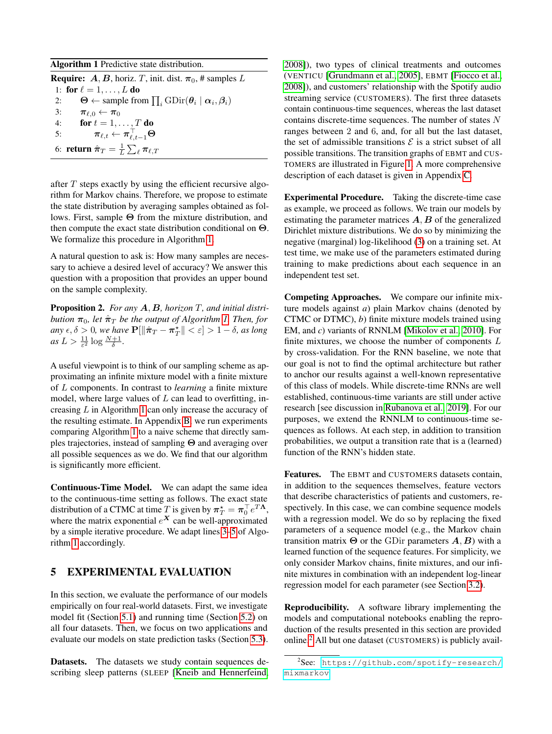<span id="page-5-1"></span>Algorithm 1 Predictive state distribution.

| <b>Require:</b> A, B, horiz. T, init. dist. $\pi_0$ , # samples L |                                                                                           |
|-------------------------------------------------------------------|-------------------------------------------------------------------------------------------|
|                                                                   | 1: for $\ell = 1, \ldots, L$ do                                                           |
| 2:                                                                | $\Theta \leftarrow$ sample from $\prod_i \text{GDir}(\theta_i   \alpha_i, \beta_i)$       |
| 3:                                                                | $\pi_{\ell,0} \leftarrow \pi_0$                                                           |
| 4:                                                                | for $t = 1, \ldots, T$ do                                                                 |
| 5:                                                                | $\boldsymbol{\pi}_{\ell,t} \leftarrow \boldsymbol{\pi}_{\ell,t-1}^{\top} \mathbf{\Theta}$ |
|                                                                   | 6: return $\hat{\pi}_T = \frac{1}{L} \sum_{\ell} \pi_{\ell,T}$                            |

after  $T$  steps exactly by using the efficient recursive algorithm for Markov chains. Therefore, we propose to estimate the state distribution by averaging samples obtained as follows. First, sample Θ from the mixture distribution, and then compute the exact state distribution conditional on Θ. We formalize this procedure in Algorithm [1.](#page-5-1)

A natural question to ask is: How many samples are necessary to achieve a desired level of accuracy? We answer this question with a proposition that provides an upper bound on the sample complexity.

Proposition 2. *For any* A, B*, horizon* T*, and initial distribution*  $\pi_0$ *, let*  $\hat{\pi}_T$  *be the output of Algorithm [1.](#page-5-1) Then, for*  $\langle \textit{any} | \epsilon, \delta \rangle$  0*, we have*  $\mathbf{P}[\|\hat{\pi}_T - \pi_T^{\star}\| < \varepsilon] > 1 - \delta$ *, as long*  $as L > \frac{11}{\varepsilon^2} \log \frac{N+1}{\delta}.$ 

A useful viewpoint is to think of our sampling scheme as approximating an infinite mixture model with a finite mixture of L components. In contrast to *learning* a finite mixture model, where large values of  $L$  can lead to overfitting, increasing L in Algorithm [1](#page-5-1) can only increase the accuracy of the resulting estimate. In Appendix [B,](#page-0-0) we run experiments comparing Algorithm [1](#page-5-1) to a naive scheme that directly samples trajectories, instead of sampling Θ and averaging over all possible sequences as we do. We find that our algorithm is significantly more efficient.

Continuous-Time Model. We can adapt the same idea to the continuous-time setting as follows. The exact state distribution of a CTMC at time  $T$  is given by  $\pi_T^* = \pi_0^T e^{T\Lambda}$ , where the matrix exponential  $e^X$  can be well-approximated by a simple iterative procedure. We adapt lines [3–5](#page-5-1) of Algorithm [1](#page-5-1) accordingly.

# <span id="page-5-0"></span>5 EXPERIMENTAL EVALUATION

In this section, we evaluate the performance of our models empirically on four real-world datasets. First, we investigate model fit (Section [5.1\)](#page-6-1) and running time (Section [5.2\)](#page-6-0) on all four datasets. Then, we focus on two applications and evaluate our models on state prediction tasks (Section [5.3\)](#page-7-0).

Datasets. The datasets we study contain sequences describing sleep patterns (SLEEP [\[Kneib and Hennerfeind,](#page-9-21)

[2008\]](#page-9-21)), two types of clinical treatments and outcomes (VENTICU [\[Grundmann et al., 2005\]](#page-8-18), EBMT [\[Fiocco et al.,](#page-8-19) [2008\]](#page-8-19)), and customers' relationship with the Spotify audio streaming service (CUSTOMERS). The first three datasets contain continuous-time sequences, whereas the last dataset contains discrete-time sequences. The number of states  $N$ ranges between 2 and 6, and, for all but the last dataset, the set of admissible transitions  $\mathcal E$  is a strict subset of all possible transitions. The transition graphs of EBMT and CUS-TOMERS are illustrated in Figure [1.](#page-2-2) A more comprehensive description of each dataset is given in Appendix [C.](#page-0-0)

Experimental Procedure. Taking the discrete-time case as example, we proceed as follows. We train our models by estimating the parameter matrices  $A, B$  of the generalized Dirichlet mixture distributions. We do so by minimizing the negative (marginal) log-likelihood [\(3\)](#page-3-4) on a training set. At test time, we make use of the parameters estimated during training to make predictions about each sequence in an independent test set.

Competing Approaches. We compare our infinite mixture models against *a*) plain Markov chains (denoted by CTMC or DTMC), *b*) finite mixture models trained using EM, and *c*) variants of RNNLM [\[Mikolov et al., 2010\]](#page-9-22). For finite mixtures, we choose the number of components  $L$ by cross-validation. For the RNN baseline, we note that our goal is not to find the optimal architecture but rather to anchor our results against a well-known representative of this class of models. While discrete-time RNNs are well established, continuous-time variants are still under active research [see discussion in [Rubanova et al., 2019\]](#page-9-23). For our purposes, we extend the RNNLM to continuous-time sequences as follows. At each step, in addition to transition probabilities, we output a transition rate that is a (learned) function of the RNN's hidden state.

Features. The EBMT and CUSTOMERS datasets contain, in addition to the sequences themselves, feature vectors that describe characteristics of patients and customers, respectively. In this case, we can combine sequence models with a regression model. We do so by replacing the fixed parameters of a sequence model (e.g., the Markov chain transition matrix  $\Theta$  or the GDir parameters  $A, B$ ) with a learned function of the sequence features. For simplicity, we only consider Markov chains, finite mixtures, and our infinite mixtures in combination with an independent log-linear regression model for each parameter (see Section [3.2\)](#page-3-0).

Reproducibility. A software library implementing the models and computational notebooks enabling the reproduction of the results presented in this section are provided online.[2](#page-5-2) All but one dataset (CUSTOMERS) is publicly avail-

<span id="page-5-2"></span><sup>2</sup> See: [https://github.com/spotify-research/](https://github.com/spotify-research/mixmarkov) [mixmarkov](https://github.com/spotify-research/mixmarkov)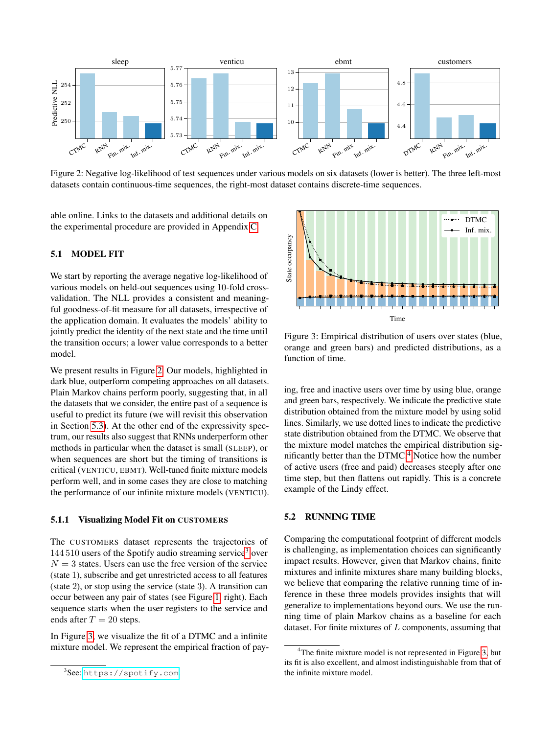<span id="page-6-2"></span>

Figure 2: Negative log-likelihood of test sequences under various models on six datasets (lower is better). The three left-most datasets contain continuous-time sequences, the right-most dataset contains discrete-time sequences.

able online. Links to the datasets and additional details on the experimental procedure are provided in Appendix [C.](#page-0-0)

### <span id="page-6-1"></span>5.1 MODEL FIT

We start by reporting the average negative log-likelihood of various models on held-out sequences using 10-fold crossvalidation. The NLL provides a consistent and meaningful goodness-of-fit measure for all datasets, irrespective of the application domain. It evaluates the models' ability to jointly predict the identity of the next state and the time until the transition occurs; a lower value corresponds to a better model.

We present results in Figure [2.](#page-6-2) Our models, highlighted in dark blue, outperform competing approaches on all datasets. Plain Markov chains perform poorly, suggesting that, in all the datasets that we consider, the entire past of a sequence is useful to predict its future (we will revisit this observation in Section [5.3\)](#page-7-0). At the other end of the expressivity spectrum, our results also suggest that RNNs underperform other methods in particular when the dataset is small (SLEEP), or when sequences are short but the timing of transitions is critical (VENTICU, EBMT). Well-tuned finite mixture models perform well, and in some cases they are close to matching the performance of our infinite mixture models (VENTICU).

#### 5.1.1 Visualizing Model Fit on CUSTOMERS

The CUSTOMERS dataset represents the trajectories of 144 510 users of the Spotify audio streaming service[3](#page-6-3) over  $N = 3$  states. Users can use the free version of the service (state 1), subscribe and get unrestricted access to all features (state 2), or stop using the service (state 3). A transition can occur between any pair of states (see Figure [1,](#page-2-2) right). Each sequence starts when the user registers to the service and ends after  $T = 20$  steps.

In Figure [3,](#page-6-4) we visualize the fit of a DTMC and a infinite mixture model. We represent the empirical fraction of pay-

<span id="page-6-4"></span>

Figure 3: Empirical distribution of users over states (blue, orange and green bars) and predicted distributions, as a function of time.

ing, free and inactive users over time by using blue, orange and green bars, respectively. We indicate the predictive state distribution obtained from the mixture model by using solid lines. Similarly, we use dotted lines to indicate the predictive state distribution obtained from the DTMC. We observe that the mixture model matches the empirical distribution significantly better than the  $DTMC<sup>4</sup>$  $DTMC<sup>4</sup>$  $DTMC<sup>4</sup>$  Notice how the number of active users (free and paid) decreases steeply after one time step, but then flattens out rapidly. This is a concrete example of the Lindy effect.

### <span id="page-6-0"></span>5.2 RUNNING TIME

Comparing the computational footprint of different models is challenging, as implementation choices can significantly impact results. However, given that Markov chains, finite mixtures and infinite mixtures share many building blocks, we believe that comparing the relative running time of inference in these three models provides insights that will generalize to implementations beyond ours. We use the running time of plain Markov chains as a baseline for each dataset. For finite mixtures of  $L$  components, assuming that

<span id="page-6-3"></span><sup>&</sup>lt;sup>3</sup>See: <https://spotify.com>.

<span id="page-6-5"></span> $4$ The finite mixture model is not represented in Figure [3,](#page-6-4) but its fit is also excellent, and almost indistinguishable from that of the infinite mixture model.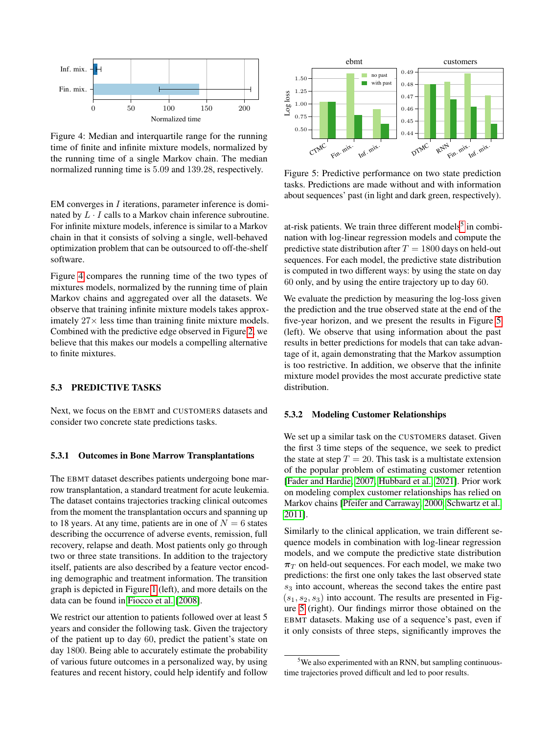<span id="page-7-1"></span>

Figure 4: Median and interquartile range for the running time of finite and infinite mixture models, normalized by the running time of a single Markov chain. The median normalized running time is 5.09 and 139.28, respectively.

EM converges in I iterations, parameter inference is dominated by  $L \cdot I$  calls to a Markov chain inference subroutine. For infinite mixture models, inference is similar to a Markov chain in that it consists of solving a single, well-behaved optimization problem that can be outsourced to off-the-shelf software.

Figure [4](#page-7-1) compares the running time of the two types of mixtures models, normalized by the running time of plain Markov chains and aggregated over all the datasets. We observe that training infinite mixture models takes approximately  $27 \times$  less time than training finite mixture models. Combined with the predictive edge observed in Figure [2,](#page-6-2) we believe that this makes our models a compelling alternative to finite mixtures.

### <span id="page-7-0"></span>5.3 PREDICTIVE TASKS

Next, we focus on the EBMT and CUSTOMERS datasets and consider two concrete state predictions tasks.

### 5.3.1 Outcomes in Bone Marrow Transplantations

The EBMT dataset describes patients undergoing bone marrow transplantation, a standard treatment for acute leukemia. The dataset contains trajectories tracking clinical outcomes from the moment the transplantation occurs and spanning up to 18 years. At any time, patients are in one of  $N = 6$  states describing the occurrence of adverse events, remission, full recovery, relapse and death. Most patients only go through two or three state transitions. In addition to the trajectory itself, patients are also described by a feature vector encoding demographic and treatment information. The transition graph is depicted in Figure [1](#page-2-2) (left), and more details on the data can be found in [Fiocco et al.](#page-8-19) [\[2008\]](#page-8-19).

We restrict our attention to patients followed over at least 5 years and consider the following task. Given the trajectory of the patient up to day 60, predict the patient's state on day 1800. Being able to accurately estimate the probability of various future outcomes in a personalized way, by using features and recent history, could help identify and follow

<span id="page-7-3"></span>

Figure 5: Predictive performance on two state prediction tasks. Predictions are made without and with information about sequences' past (in light and dark green, respectively).

at-risk patients. We train three different models<sup>[5](#page-7-2)</sup> in combination with log-linear regression models and compute the predictive state distribution after  $T = 1800$  days on held-out sequences. For each model, the predictive state distribution is computed in two different ways: by using the state on day 60 only, and by using the entire trajectory up to day 60.

We evaluate the prediction by measuring the log-loss given the prediction and the true observed state at the end of the five-year horizon, and we present the results in Figure [5](#page-7-3) (left). We observe that using information about the past results in better predictions for models that can take advantage of it, again demonstrating that the Markov assumption is too restrictive. In addition, we observe that the infinite mixture model provides the most accurate predictive state distribution.

#### 5.3.2 Modeling Customer Relationships

We set up a similar task on the CUSTOMERS dataset. Given the first 3 time steps of the sequence, we seek to predict the state at step  $T = 20$ . This task is a multistate extension of the popular problem of estimating customer retention [\[Fader and Hardie, 2007,](#page-8-16) [Hubbard et al., 2021\]](#page-8-10). Prior work on modeling complex customer relationships has relied on Markov chains [\[Pfeifer and Carraway, 2000,](#page-9-1) [Schwartz et al.,](#page-9-18) [2011\]](#page-9-18).

Similarly to the clinical application, we train different sequence models in combination with log-linear regression models, and we compute the predictive state distribution  $\pi_T$  on held-out sequences. For each model, we make two predictions: the first one only takes the last observed state  $s<sub>3</sub>$  into account, whereas the second takes the entire past  $(s_1, s_2, s_3)$  into account. The results are presented in Figure [5](#page-7-3) (right). Our findings mirror those obtained on the EBMT datasets. Making use of a sequence's past, even if it only consists of three steps, significantly improves the

<span id="page-7-2"></span> $5$ We also experimented with an RNN, but sampling continuoustime trajectories proved difficult and led to poor results.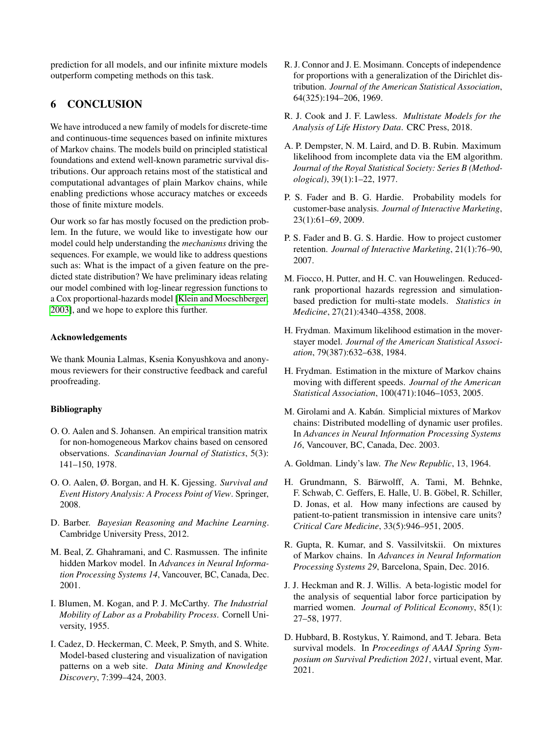prediction for all models, and our infinite mixture models outperform competing methods on this task.

# 6 CONCLUSION

We have introduced a new family of models for discrete-time and continuous-time sequences based on infinite mixtures of Markov chains. The models build on principled statistical foundations and extend well-known parametric survival distributions. Our approach retains most of the statistical and computational advantages of plain Markov chains, while enabling predictions whose accuracy matches or exceeds those of finite mixture models.

Our work so far has mostly focused on the prediction problem. In the future, we would like to investigate how our model could help understanding the *mechanisms* driving the sequences. For example, we would like to address questions such as: What is the impact of a given feature on the predicted state distribution? We have preliminary ideas relating our model combined with log-linear regression functions to a Cox proportional-hazards model [\[Klein and Moeschberger,](#page-9-11) [2003\]](#page-9-11), and we hope to explore this further.

### Acknowledgements

We thank Mounia Lalmas, Ksenia Konyushkova and anonymous reviewers for their constructive feedback and careful proofreading.

### Bibliography

- <span id="page-8-12"></span>O. O. Aalen and S. Johansen. An empirical transition matrix for non-homogeneous Markov chains based on censored observations. *Scandinavian Journal of Statistics*, 5(3): 141–150, 1978.
- <span id="page-8-11"></span>O. O. Aalen, Ø. Borgan, and H. K. Gjessing. *Survival and Event History Analysis: A Process Point of View*. Springer, 2008.
- <span id="page-8-14"></span>D. Barber. *Bayesian Reasoning and Machine Learning*. Cambridge University Press, 2012.
- <span id="page-8-9"></span>M. Beal, Z. Ghahramani, and C. Rasmussen. The infinite hidden Markov model. In *Advances in Neural Information Processing Systems 14*, Vancouver, BC, Canada, Dec. 2001.
- <span id="page-8-13"></span>I. Blumen, M. Kogan, and P. J. McCarthy. *The Industrial Mobility of Labor as a Probability Process*. Cornell University, 1955.
- <span id="page-8-3"></span>I. Cadez, D. Heckerman, C. Meek, P. Smyth, and S. White. Model-based clustering and visualization of navigation patterns on a web site. *Data Mining and Knowledge Discovery*, 7:399–424, 2003.
- <span id="page-8-17"></span>R. J. Connor and J. E. Mosimann. Concepts of independence for proportions with a generalization of the Dirichlet distribution. *Journal of the American Statistical Association*, 64(325):194–206, 1969.
- <span id="page-8-0"></span>R. J. Cook and J. F. Lawless. *Multistate Models for the Analysis of Life History Data*. CRC Press, 2018.
- <span id="page-8-7"></span>A. P. Dempster, N. M. Laird, and D. B. Rubin. Maximum likelihood from incomplete data via the EM algorithm. *Journal of the Royal Statistical Society: Series B (Methodological)*, 39(1):1–22, 1977.
- <span id="page-8-15"></span>P. S. Fader and B. G. Hardie. Probability models for customer-base analysis. *Journal of Interactive Marketing*, 23(1):61–69, 2009.
- <span id="page-8-16"></span>P. S. Fader and B. G. S. Hardie. How to project customer retention. *Journal of Interactive Marketing*, 21(1):76–90, 2007.
- <span id="page-8-19"></span>M. Fiocco, H. Putter, and H. C. van Houwelingen. Reducedrank proportional hazards regression and simulationbased prediction for multi-state models. *Statistics in Medicine*, 27(21):4340–4358, 2008.
- <span id="page-8-2"></span>H. Frydman. Maximum likelihood estimation in the moverstayer model. *Journal of the American Statistical Association*, 79(387):632–638, 1984.
- <span id="page-8-5"></span>H. Frydman. Estimation in the mixture of Markov chains moving with different speeds. *Journal of the American Statistical Association*, 100(471):1046–1053, 2005.
- <span id="page-8-4"></span>M. Girolami and A. Kabán. Simplicial mixtures of Markov chains: Distributed modelling of dynamic user profiles. In *Advances in Neural Information Processing Systems 16*, Vancouver, BC, Canada, Dec. 2003.
- <span id="page-8-1"></span>A. Goldman. Lindy's law. *The New Republic*, 13, 1964.
- <span id="page-8-18"></span>H. Grundmann, S. Bärwolff, A. Tami, M. Behnke, F. Schwab, C. Geffers, E. Halle, U. B. Göbel, R. Schiller, D. Jonas, et al. How many infections are caused by patient-to-patient transmission in intensive care units? *Critical Care Medicine*, 33(5):946–951, 2005.
- <span id="page-8-6"></span>R. Gupta, R. Kumar, and S. Vassilvitskii. On mixtures of Markov chains. In *Advances in Neural Information Processing Systems 29*, Barcelona, Spain, Dec. 2016.
- <span id="page-8-8"></span>J. J. Heckman and R. J. Willis. A beta-logistic model for the analysis of sequential labor force participation by married women. *Journal of Political Economy*, 85(1): 27–58, 1977.
- <span id="page-8-10"></span>D. Hubbard, B. Rostykus, Y. Raimond, and T. Jebara. Beta survival models. In *Proceedings of AAAI Spring Symposium on Survival Prediction 2021*, virtual event, Mar. 2021.